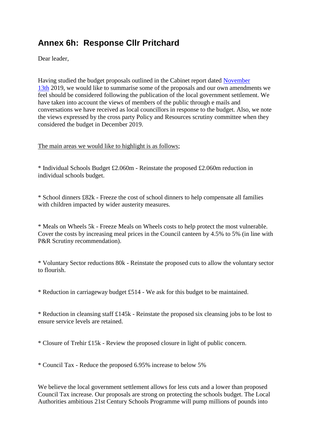## **Annex 6h: Response Cllr Pritchard**

Dear leader,

Having studied the budget proposals outlined in the Cabinet report dated [November](x-apple-data-detectors://0/)  [13th](x-apple-data-detectors://0/) 2019, we would like to summarise some of the proposals and our own amendments we feel should be considered following the publication of the local government settlement. We have taken into account the views of members of the public through e mails and conversations we have received as local councillors in response to the budget. Also, we note the views expressed by the cross party Policy and Resources scrutiny committee when they considered the budget in December 2019.

The main areas we would like to highlight is as follows;

\* Individual Schools Budget £2.060m - Reinstate the proposed £2.060m reduction in individual schools budget.

\* School dinners £82k - Freeze the cost of school dinners to help compensate all families with children impacted by wider austerity measures.

\* Meals on Wheels 5k - Freeze Meals on Wheels costs to help protect the most vulnerable. Cover the costs by increasing meal prices in the Council canteen by 4.5% to 5% (in line with P&R Scrutiny recommendation).

\* Voluntary Sector reductions 80k - Reinstate the proposed cuts to allow the voluntary sector to flourish.

\* Reduction in carriageway budget £514 - We ask for this budget to be maintained.

\* Reduction in cleansing staff £145k - Reinstate the proposed six cleansing jobs to be lost to ensure service levels are retained.

\* Closure of Trehir £15k - Review the proposed closure in light of public concern.

\* Council Tax - Reduce the proposed 6.95% increase to below 5%

We believe the local government settlement allows for less cuts and a lower than proposed Council Tax increase. Our proposals are strong on protecting the schools budget. The Local Authorities ambitious 21st Century Schools Programme will pump millions of pounds into